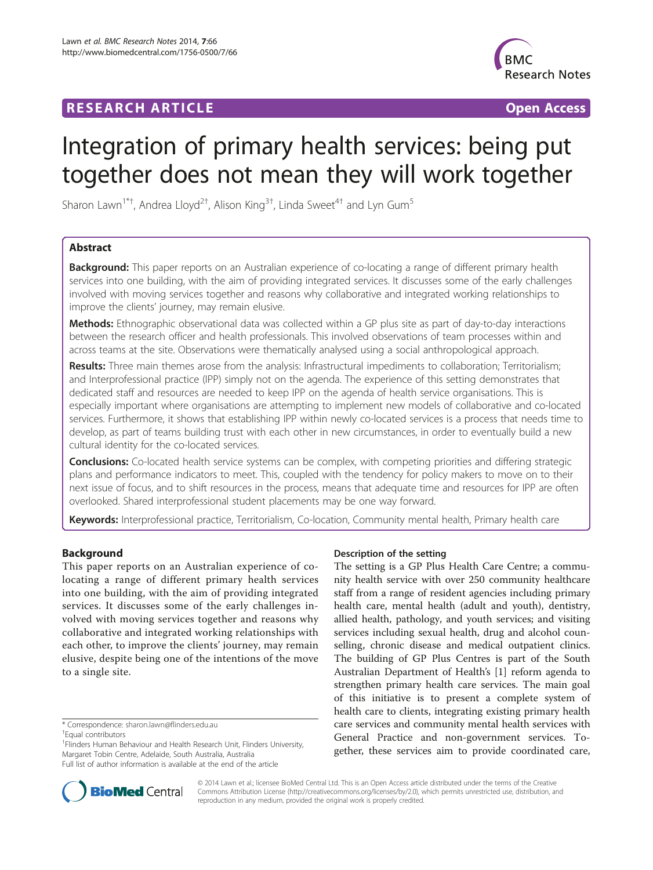## **RESEARCH ARTICLE Example 2018 12:00 Department of the CONNECTION CONNECTION CONNECTION CONNECTION**



# Integration of primary health services: being put together does not mean they will work together

Sharon Lawn<sup>1\*†</sup>, Andrea Lloyd<sup>2†</sup>, Alison King<sup>3†</sup>, Linda Sweet<sup>4†</sup> and Lyn Gum<sup>5</sup>

### Abstract

Background: This paper reports on an Australian experience of co-locating a range of different primary health services into one building, with the aim of providing integrated services. It discusses some of the early challenges involved with moving services together and reasons why collaborative and integrated working relationships to improve the clients' journey, may remain elusive.

Methods: Ethnographic observational data was collected within a GP plus site as part of day-to-day interactions between the research officer and health professionals. This involved observations of team processes within and across teams at the site. Observations were thematically analysed using a social anthropological approach.

Results: Three main themes arose from the analysis: Infrastructural impediments to collaboration; Territorialism; and Interprofessional practice (IPP) simply not on the agenda. The experience of this setting demonstrates that dedicated staff and resources are needed to keep IPP on the agenda of health service organisations. This is especially important where organisations are attempting to implement new models of collaborative and co-located services. Furthermore, it shows that establishing IPP within newly co-located services is a process that needs time to develop, as part of teams building trust with each other in new circumstances, in order to eventually build a new cultural identity for the co-located services.

Conclusions: Co-located health service systems can be complex, with competing priorities and differing strategic plans and performance indicators to meet. This, coupled with the tendency for policy makers to move on to their next issue of focus, and to shift resources in the process, means that adequate time and resources for IPP are often overlooked. Shared interprofessional student placements may be one way forward.

Keywords: Interprofessional practice, Territorialism, Co-location, Community mental health, Primary health care

### Background

This paper reports on an Australian experience of colocating a range of different primary health services into one building, with the aim of providing integrated services. It discusses some of the early challenges involved with moving services together and reasons why collaborative and integrated working relationships with each other, to improve the clients' journey, may remain elusive, despite being one of the intentions of the move to a single site.

Equal contributors

#### Description of the setting

The setting is a GP Plus Health Care Centre; a community health service with over 250 community healthcare staff from a range of resident agencies including primary health care, mental health (adult and youth), dentistry, allied health, pathology, and youth services; and visiting services including sexual health, drug and alcohol counselling, chronic disease and medical outpatient clinics. The building of GP Plus Centres is part of the South Australian Department of Health's [[1](#page-8-0)] reform agenda to strengthen primary health care services. The main goal of this initiative is to present a complete system of health care to clients, integrating existing primary health care services and community mental health services with General Practice and non-government services. Together, these services aim to provide coordinated care,



© 2014 Lawn et al.; licensee BioMed Central Ltd. This is an Open Access article distributed under the terms of the Creative Commons Attribution License [\(http://creativecommons.org/licenses/by/2.0\)](http://creativecommons.org/licenses/by/2.0), which permits unrestricted use, distribution, and reproduction in any medium, provided the original work is properly credited.

<sup>\*</sup> Correspondence: [sharon.lawn@flinders.edu.au](mailto:sharon.lawn@flinders.edu.au) †

<sup>&</sup>lt;sup>1</sup> Flinders Human Behaviour and Health Research Unit, Flinders University, Margaret Tobin Centre, Adelaide, South Australia, Australia Full list of author information is available at the end of the article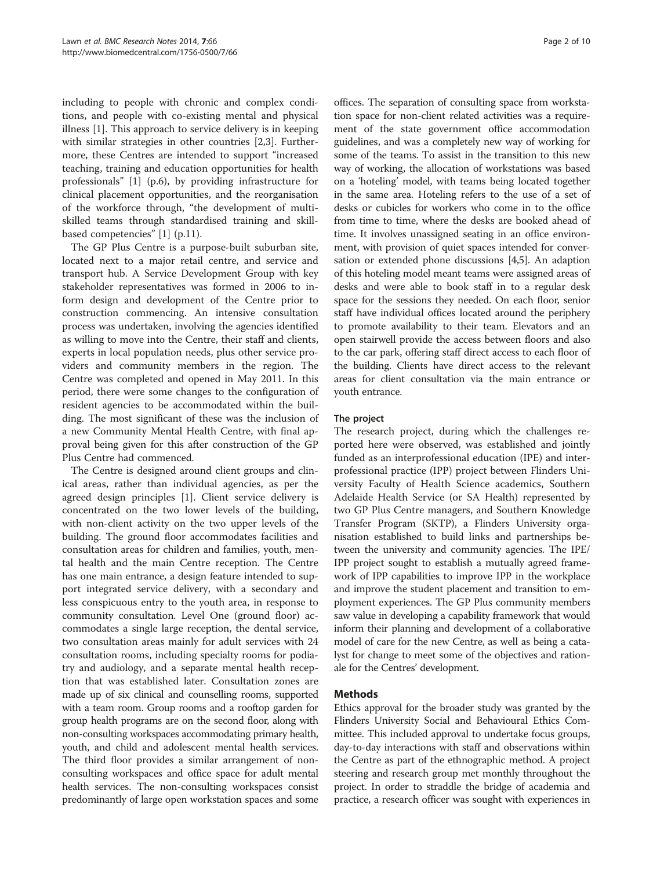including to people with chronic and complex conditions, and people with co-existing mental and physical illness [[1\]](#page-8-0). This approach to service delivery is in keeping with similar strategies in other countries [\[2,3](#page-8-0)]. Furthermore, these Centres are intended to support "increased teaching, training and education opportunities for health professionals" [\[1\]](#page-8-0) (p.6), by providing infrastructure for clinical placement opportunities, and the reorganisation of the workforce through, "the development of multiskilled teams through standardised training and skillbased competencies" [[1\]](#page-8-0) (p.11).

The GP Plus Centre is a purpose-built suburban site, located next to a major retail centre, and service and transport hub. A Service Development Group with key stakeholder representatives was formed in 2006 to inform design and development of the Centre prior to construction commencing. An intensive consultation process was undertaken, involving the agencies identified as willing to move into the Centre, their staff and clients, experts in local population needs, plus other service providers and community members in the region. The Centre was completed and opened in May 2011. In this period, there were some changes to the configuration of resident agencies to be accommodated within the building. The most significant of these was the inclusion of a new Community Mental Health Centre, with final approval being given for this after construction of the GP Plus Centre had commenced.

The Centre is designed around client groups and clinical areas, rather than individual agencies, as per the agreed design principles [\[1](#page-8-0)]. Client service delivery is concentrated on the two lower levels of the building, with non-client activity on the two upper levels of the building. The ground floor accommodates facilities and consultation areas for children and families, youth, mental health and the main Centre reception. The Centre has one main entrance, a design feature intended to support integrated service delivery, with a secondary and less conspicuous entry to the youth area, in response to community consultation. Level One (ground floor) accommodates a single large reception, the dental service, two consultation areas mainly for adult services with 24 consultation rooms, including specialty rooms for podiatry and audiology, and a separate mental health reception that was established later. Consultation zones are made up of six clinical and counselling rooms, supported with a team room. Group rooms and a rooftop garden for group health programs are on the second floor, along with non-consulting workspaces accommodating primary health, youth, and child and adolescent mental health services. The third floor provides a similar arrangement of nonconsulting workspaces and office space for adult mental health services. The non-consulting workspaces consist predominantly of large open workstation spaces and some

offices. The separation of consulting space from workstation space for non-client related activities was a requirement of the state government office accommodation guidelines, and was a completely new way of working for some of the teams. To assist in the transition to this new way of working, the allocation of workstations was based on a 'hoteling' model, with teams being located together in the same area. Hoteling refers to the use of a set of desks or cubicles for workers who come in to the office from time to time, where the desks are booked ahead of time. It involves unassigned seating in an office environment, with provision of quiet spaces intended for conversation or extended phone discussions [[4,5](#page-8-0)]. An adaption of this hoteling model meant teams were assigned areas of desks and were able to book staff in to a regular desk space for the sessions they needed. On each floor, senior staff have individual offices located around the periphery to promote availability to their team. Elevators and an open stairwell provide the access between floors and also to the car park, offering staff direct access to each floor of the building. Clients have direct access to the relevant areas for client consultation via the main entrance or youth entrance.

#### The project

The research project, during which the challenges reported here were observed, was established and jointly funded as an interprofessional education (IPE) and interprofessional practice (IPP) project between Flinders University Faculty of Health Science academics, Southern Adelaide Health Service (or SA Health) represented by two GP Plus Centre managers, and Southern Knowledge Transfer Program (SKTP), a Flinders University organisation established to build links and partnerships between the university and community agencies. The IPE/ IPP project sought to establish a mutually agreed framework of IPP capabilities to improve IPP in the workplace and improve the student placement and transition to employment experiences. The GP Plus community members saw value in developing a capability framework that would inform their planning and development of a collaborative model of care for the new Centre, as well as being a catalyst for change to meet some of the objectives and rationale for the Centres' development.

#### Methods

Ethics approval for the broader study was granted by the Flinders University Social and Behavioural Ethics Committee. This included approval to undertake focus groups, day-to-day interactions with staff and observations within the Centre as part of the ethnographic method. A project steering and research group met monthly throughout the project. In order to straddle the bridge of academia and practice, a research officer was sought with experiences in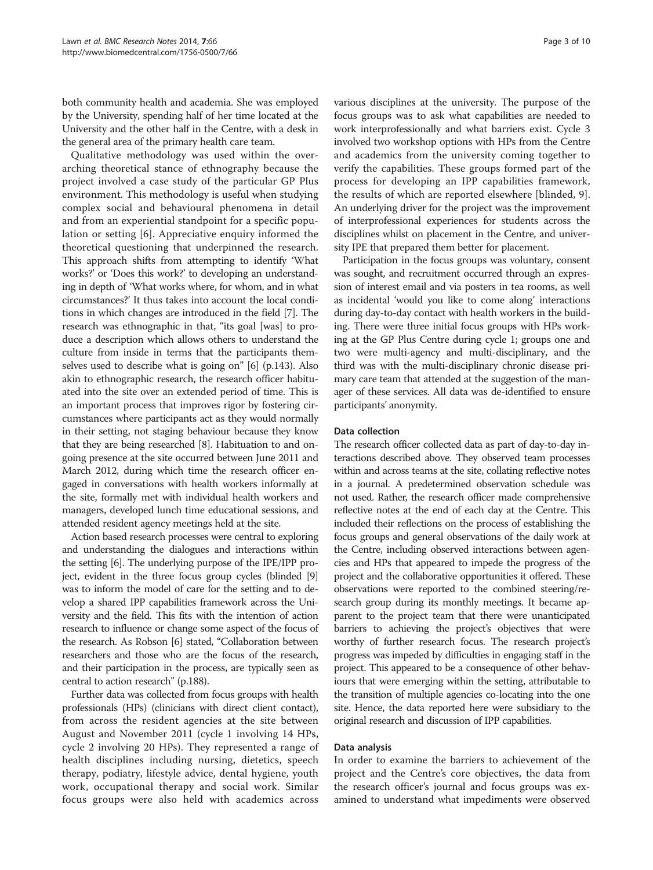both community health and academia. She was employed by the University, spending half of her time located at the University and the other half in the Centre, with a desk in the general area of the primary health care team.

Qualitative methodology was used within the overarching theoretical stance of ethnography because the project involved a case study of the particular GP Plus environment. This methodology is useful when studying complex social and behavioural phenomena in detail and from an experiential standpoint for a specific population or setting [[6\]](#page-8-0). Appreciative enquiry informed the theoretical questioning that underpinned the research. This approach shifts from attempting to identify 'What works?' or 'Does this work?' to developing an understanding in depth of 'What works where, for whom, and in what circumstances?' It thus takes into account the local conditions in which changes are introduced in the field [[7\]](#page-8-0). The research was ethnographic in that, "its goal [was] to produce a description which allows others to understand the culture from inside in terms that the participants themselves used to describe what is going on" [\[6](#page-8-0)] (p.143). Also akin to ethnographic research, the research officer habituated into the site over an extended period of time. This is an important process that improves rigor by fostering circumstances where participants act as they would normally in their setting, not staging behaviour because they know that they are being researched [\[8\]](#page-8-0). Habituation to and ongoing presence at the site occurred between June 2011 and March 2012, during which time the research officer engaged in conversations with health workers informally at the site, formally met with individual health workers and managers, developed lunch time educational sessions, and attended resident agency meetings held at the site.

Action based research processes were central to exploring and understanding the dialogues and interactions within the setting [[6](#page-8-0)]. The underlying purpose of the IPE/IPP project, evident in the three focus group cycles (blinded [[9](#page-8-0)] was to inform the model of care for the setting and to develop a shared IPP capabilities framework across the University and the field. This fits with the intention of action research to influence or change some aspect of the focus of the research. As Robson [\[6\]](#page-8-0) stated, "Collaboration between researchers and those who are the focus of the research, and their participation in the process, are typically seen as central to action research" (p.188).

Further data was collected from focus groups with health professionals (HPs) (clinicians with direct client contact), from across the resident agencies at the site between August and November 2011 (cycle 1 involving 14 HPs, cycle 2 involving 20 HPs). They represented a range of health disciplines including nursing, dietetics, speech therapy, podiatry, lifestyle advice, dental hygiene, youth work, occupational therapy and social work. Similar focus groups were also held with academics across various disciplines at the university. The purpose of the focus groups was to ask what capabilities are needed to work interprofessionally and what barriers exist. Cycle 3 involved two workshop options with HPs from the Centre and academics from the university coming together to verify the capabilities. These groups formed part of the process for developing an IPP capabilities framework, the results of which are reported elsewhere [blinded, [9](#page-8-0)]. An underlying driver for the project was the improvement of interprofessional experiences for students across the disciplines whilst on placement in the Centre, and university IPE that prepared them better for placement.

Participation in the focus groups was voluntary, consent was sought, and recruitment occurred through an expression of interest email and via posters in tea rooms, as well as incidental 'would you like to come along' interactions during day-to-day contact with health workers in the building. There were three initial focus groups with HPs working at the GP Plus Centre during cycle 1; groups one and two were multi-agency and multi-disciplinary, and the third was with the multi-disciplinary chronic disease primary care team that attended at the suggestion of the manager of these services. All data was de-identified to ensure participants' anonymity.

#### Data collection

The research officer collected data as part of day-to-day interactions described above. They observed team processes within and across teams at the site, collating reflective notes in a journal. A predetermined observation schedule was not used. Rather, the research officer made comprehensive reflective notes at the end of each day at the Centre. This included their reflections on the process of establishing the focus groups and general observations of the daily work at the Centre, including observed interactions between agencies and HPs that appeared to impede the progress of the project and the collaborative opportunities it offered. These observations were reported to the combined steering/research group during its monthly meetings. It became apparent to the project team that there were unanticipated barriers to achieving the project's objectives that were worthy of further research focus. The research project's progress was impeded by difficulties in engaging staff in the project. This appeared to be a consequence of other behaviours that were emerging within the setting, attributable to the transition of multiple agencies co-locating into the one site. Hence, the data reported here were subsidiary to the original research and discussion of IPP capabilities.

#### Data analysis

In order to examine the barriers to achievement of the project and the Centre's core objectives, the data from the research officer's journal and focus groups was examined to understand what impediments were observed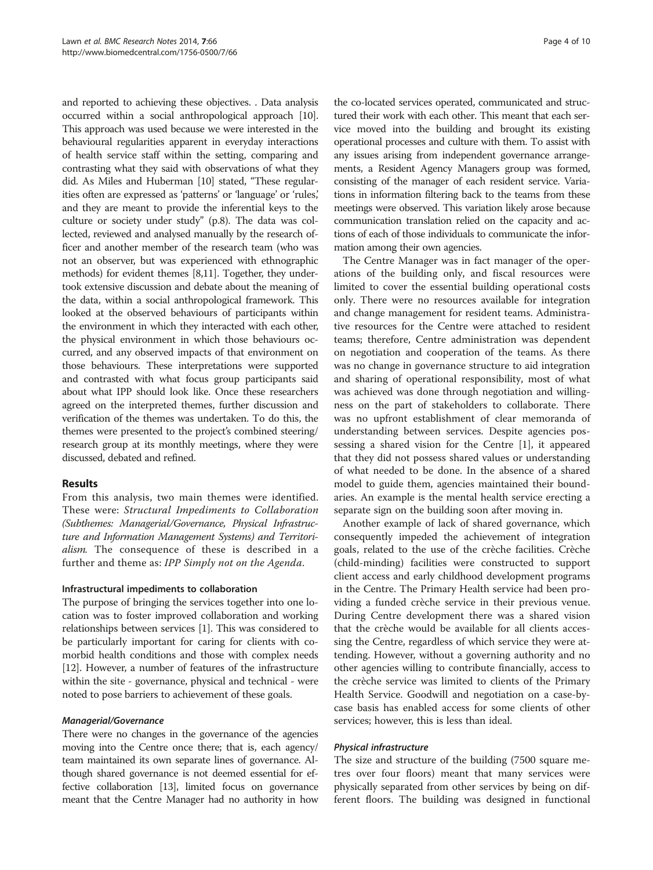and reported to achieving these objectives. . Data analysis occurred within a social anthropological approach [\[10](#page-8-0)]. This approach was used because we were interested in the behavioural regularities apparent in everyday interactions of health service staff within the setting, comparing and contrasting what they said with observations of what they did. As Miles and Huberman [\[10\]](#page-8-0) stated, "These regularities often are expressed as 'patterns' or 'language' or 'rules,' and they are meant to provide the inferential keys to the culture or society under study" (p.8). The data was collected, reviewed and analysed manually by the research officer and another member of the research team (who was not an observer, but was experienced with ethnographic methods) for evident themes [\[8,11\]](#page-8-0). Together, they undertook extensive discussion and debate about the meaning of the data, within a social anthropological framework. This looked at the observed behaviours of participants within the environment in which they interacted with each other, the physical environment in which those behaviours occurred, and any observed impacts of that environment on those behaviours. These interpretations were supported and contrasted with what focus group participants said about what IPP should look like. Once these researchers agreed on the interpreted themes, further discussion and verification of the themes was undertaken. To do this, the themes were presented to the project's combined steering/ research group at its monthly meetings, where they were discussed, debated and refined.

#### Results

From this analysis, two main themes were identified. These were: Structural Impediments to Collaboration (Subthemes: Managerial/Governance, Physical Infrastructure and Information Management Systems) and Territorialism. The consequence of these is described in a further and theme as: IPP Simply not on the Agenda.

#### Infrastructural impediments to collaboration

The purpose of bringing the services together into one location was to foster improved collaboration and working relationships between services [\[1\]](#page-8-0). This was considered to be particularly important for caring for clients with comorbid health conditions and those with complex needs [[12](#page-8-0)]. However, a number of features of the infrastructure within the site - governance, physical and technical - were noted to pose barriers to achievement of these goals.

There were no changes in the governance of the agencies moving into the Centre once there; that is, each agency/ team maintained its own separate lines of governance. Although shared governance is not deemed essential for effective collaboration [\[13\]](#page-8-0), limited focus on governance meant that the Centre Manager had no authority in how

the co-located services operated, communicated and structured their work with each other. This meant that each service moved into the building and brought its existing operational processes and culture with them. To assist with any issues arising from independent governance arrangements, a Resident Agency Managers group was formed, consisting of the manager of each resident service. Variations in information filtering back to the teams from these meetings were observed. This variation likely arose because communication translation relied on the capacity and actions of each of those individuals to communicate the information among their own agencies.

The Centre Manager was in fact manager of the operations of the building only, and fiscal resources were limited to cover the essential building operational costs only. There were no resources available for integration and change management for resident teams. Administrative resources for the Centre were attached to resident teams; therefore, Centre administration was dependent on negotiation and cooperation of the teams. As there was no change in governance structure to aid integration and sharing of operational responsibility, most of what was achieved was done through negotiation and willingness on the part of stakeholders to collaborate. There was no upfront establishment of clear memoranda of understanding between services. Despite agencies possessing a shared vision for the Centre [\[1](#page-8-0)], it appeared that they did not possess shared values or understanding of what needed to be done. In the absence of a shared model to guide them, agencies maintained their boundaries. An example is the mental health service erecting a separate sign on the building soon after moving in.

Another example of lack of shared governance, which consequently impeded the achievement of integration goals, related to the use of the crèche facilities. Crèche (child-minding) facilities were constructed to support client access and early childhood development programs in the Centre. The Primary Health service had been providing a funded crèche service in their previous venue. During Centre development there was a shared vision that the crèche would be available for all clients accessing the Centre, regardless of which service they were attending. However, without a governing authority and no other agencies willing to contribute financially, access to the crèche service was limited to clients of the Primary Health Service. Goodwill and negotiation on a case-bycase basis has enabled access for some clients of other services; however, this is less than ideal.

The size and structure of the building (7500 square metres over four floors) meant that many services were physically separated from other services by being on different floors. The building was designed in functional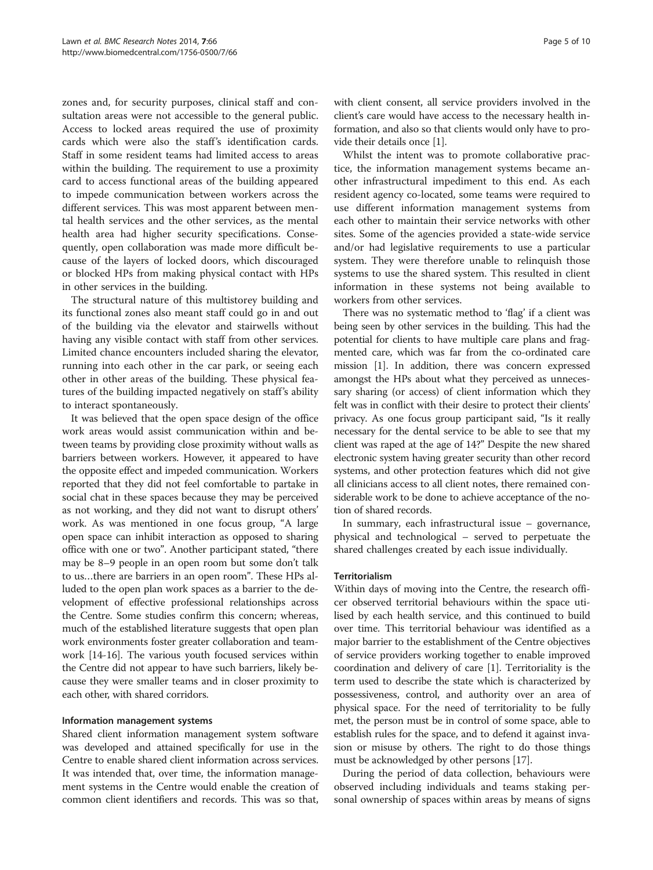zones and, for security purposes, clinical staff and consultation areas were not accessible to the general public. Access to locked areas required the use of proximity cards which were also the staff's identification cards. Staff in some resident teams had limited access to areas within the building. The requirement to use a proximity card to access functional areas of the building appeared to impede communication between workers across the different services. This was most apparent between mental health services and the other services, as the mental health area had higher security specifications. Consequently, open collaboration was made more difficult because of the layers of locked doors, which discouraged or blocked HPs from making physical contact with HPs in other services in the building.

The structural nature of this multistorey building and its functional zones also meant staff could go in and out of the building via the elevator and stairwells without having any visible contact with staff from other services. Limited chance encounters included sharing the elevator, running into each other in the car park, or seeing each other in other areas of the building. These physical features of the building impacted negatively on staff's ability to interact spontaneously.

It was believed that the open space design of the office work areas would assist communication within and between teams by providing close proximity without walls as barriers between workers. However, it appeared to have the opposite effect and impeded communication. Workers reported that they did not feel comfortable to partake in social chat in these spaces because they may be perceived as not working, and they did not want to disrupt others' work. As was mentioned in one focus group, "A large open space can inhibit interaction as opposed to sharing office with one or two". Another participant stated, "there may be 8–9 people in an open room but some don't talk to us…there are barriers in an open room". These HPs alluded to the open plan work spaces as a barrier to the development of effective professional relationships across the Centre. Some studies confirm this concern; whereas, much of the established literature suggests that open plan work environments foster greater collaboration and teamwork [\[14-16\]](#page-8-0). The various youth focused services within the Centre did not appear to have such barriers, likely because they were smaller teams and in closer proximity to each other, with shared corridors.

#### Information management systems

Shared client information management system software was developed and attained specifically for use in the Centre to enable shared client information across services. It was intended that, over time, the information management systems in the Centre would enable the creation of common client identifiers and records. This was so that,

with client consent, all service providers involved in the client's care would have access to the necessary health information, and also so that clients would only have to provide their details once [[1\]](#page-8-0).

Whilst the intent was to promote collaborative practice, the information management systems became another infrastructural impediment to this end. As each resident agency co-located, some teams were required to use different information management systems from each other to maintain their service networks with other sites. Some of the agencies provided a state-wide service and/or had legislative requirements to use a particular system. They were therefore unable to relinquish those systems to use the shared system. This resulted in client information in these systems not being available to workers from other services.

There was no systematic method to 'flag' if a client was being seen by other services in the building. This had the potential for clients to have multiple care plans and fragmented care, which was far from the co-ordinated care mission [\[1](#page-8-0)]. In addition, there was concern expressed amongst the HPs about what they perceived as unnecessary sharing (or access) of client information which they felt was in conflict with their desire to protect their clients' privacy. As one focus group participant said, "Is it really necessary for the dental service to be able to see that my client was raped at the age of 14?" Despite the new shared electronic system having greater security than other record systems, and other protection features which did not give all clinicians access to all client notes, there remained considerable work to be done to achieve acceptance of the notion of shared records.

In summary, each infrastructural issue – governance, physical and technological – served to perpetuate the shared challenges created by each issue individually.

#### Territorialism

Within days of moving into the Centre, the research officer observed territorial behaviours within the space utilised by each health service, and this continued to build over time. This territorial behaviour was identified as a major barrier to the establishment of the Centre objectives of service providers working together to enable improved coordination and delivery of care [\[1](#page-8-0)]. Territoriality is the term used to describe the state which is characterized by possessiveness, control, and authority over an area of physical space. For the need of territoriality to be fully met, the person must be in control of some space, able to establish rules for the space, and to defend it against invasion or misuse by others. The right to do those things must be acknowledged by other persons [[17](#page-8-0)].

During the period of data collection, behaviours were observed including individuals and teams staking personal ownership of spaces within areas by means of signs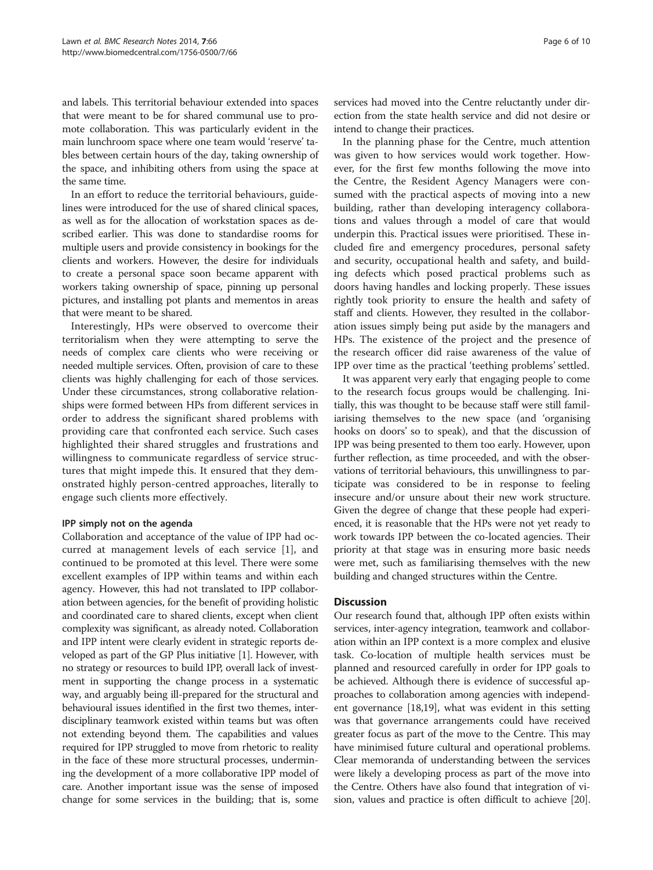and labels. This territorial behaviour extended into spaces that were meant to be for shared communal use to promote collaboration. This was particularly evident in the main lunchroom space where one team would 'reserve' tables between certain hours of the day, taking ownership of the space, and inhibiting others from using the space at the same time.

In an effort to reduce the territorial behaviours, guidelines were introduced for the use of shared clinical spaces, as well as for the allocation of workstation spaces as described earlier. This was done to standardise rooms for multiple users and provide consistency in bookings for the clients and workers. However, the desire for individuals to create a personal space soon became apparent with workers taking ownership of space, pinning up personal pictures, and installing pot plants and mementos in areas that were meant to be shared.

Interestingly, HPs were observed to overcome their territorialism when they were attempting to serve the needs of complex care clients who were receiving or needed multiple services. Often, provision of care to these clients was highly challenging for each of those services. Under these circumstances, strong collaborative relationships were formed between HPs from different services in order to address the significant shared problems with providing care that confronted each service. Such cases highlighted their shared struggles and frustrations and willingness to communicate regardless of service structures that might impede this. It ensured that they demonstrated highly person-centred approaches, literally to engage such clients more effectively.

#### IPP simply not on the agenda

Collaboration and acceptance of the value of IPP had occurred at management levels of each service [\[1\]](#page-8-0), and continued to be promoted at this level. There were some excellent examples of IPP within teams and within each agency. However, this had not translated to IPP collaboration between agencies, for the benefit of providing holistic and coordinated care to shared clients, except when client complexity was significant, as already noted. Collaboration and IPP intent were clearly evident in strategic reports developed as part of the GP Plus initiative [\[1](#page-8-0)]. However, with no strategy or resources to build IPP, overall lack of investment in supporting the change process in a systematic way, and arguably being ill-prepared for the structural and behavioural issues identified in the first two themes, interdisciplinary teamwork existed within teams but was often not extending beyond them. The capabilities and values required for IPP struggled to move from rhetoric to reality in the face of these more structural processes, undermining the development of a more collaborative IPP model of care. Another important issue was the sense of imposed change for some services in the building; that is, some

services had moved into the Centre reluctantly under direction from the state health service and did not desire or intend to change their practices.

In the planning phase for the Centre, much attention was given to how services would work together. However, for the first few months following the move into the Centre, the Resident Agency Managers were consumed with the practical aspects of moving into a new building, rather than developing interagency collaborations and values through a model of care that would underpin this. Practical issues were prioritised. These included fire and emergency procedures, personal safety and security, occupational health and safety, and building defects which posed practical problems such as doors having handles and locking properly. These issues rightly took priority to ensure the health and safety of staff and clients. However, they resulted in the collaboration issues simply being put aside by the managers and HPs. The existence of the project and the presence of the research officer did raise awareness of the value of IPP over time as the practical 'teething problems' settled.

It was apparent very early that engaging people to come to the research focus groups would be challenging. Initially, this was thought to be because staff were still familiarising themselves to the new space (and 'organising hooks on doors' so to speak), and that the discussion of IPP was being presented to them too early. However, upon further reflection, as time proceeded, and with the observations of territorial behaviours, this unwillingness to participate was considered to be in response to feeling insecure and/or unsure about their new work structure. Given the degree of change that these people had experienced, it is reasonable that the HPs were not yet ready to work towards IPP between the co-located agencies. Their priority at that stage was in ensuring more basic needs were met, such as familiarising themselves with the new building and changed structures within the Centre.

#### **Discussion**

Our research found that, although IPP often exists within services, inter-agency integration, teamwork and collaboration within an IPP context is a more complex and elusive task. Co-location of multiple health services must be planned and resourced carefully in order for IPP goals to be achieved. Although there is evidence of successful approaches to collaboration among agencies with independent governance [[18,19\]](#page-8-0), what was evident in this setting was that governance arrangements could have received greater focus as part of the move to the Centre. This may have minimised future cultural and operational problems. Clear memoranda of understanding between the services were likely a developing process as part of the move into the Centre. Others have also found that integration of vision, values and practice is often difficult to achieve [[20](#page-8-0)].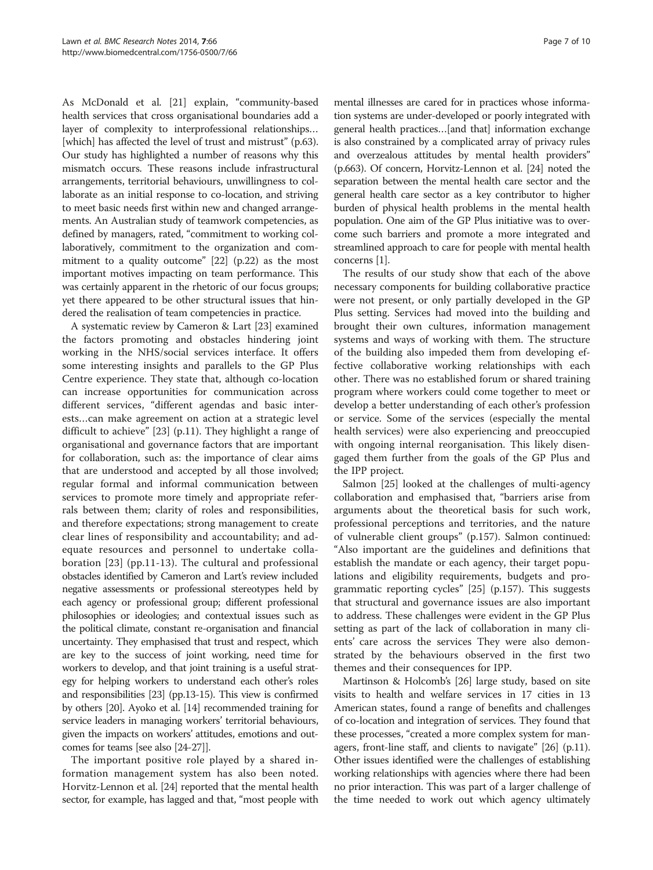As McDonald et al. [\[21](#page-8-0)] explain, "community-based health services that cross organisational boundaries add a layer of complexity to interprofessional relationships… [which] has affected the level of trust and mistrust" (p.63). Our study has highlighted a number of reasons why this mismatch occurs. These reasons include infrastructural arrangements, territorial behaviours, unwillingness to collaborate as an initial response to co-location, and striving to meet basic needs first within new and changed arrangements. An Australian study of teamwork competencies, as defined by managers, rated, "commitment to working collaboratively, commitment to the organization and commitment to a quality outcome" [\[22](#page-8-0)] (p.22) as the most important motives impacting on team performance. This was certainly apparent in the rhetoric of our focus groups; yet there appeared to be other structural issues that hindered the realisation of team competencies in practice.

A systematic review by Cameron & Lart [\[23](#page-8-0)] examined the factors promoting and obstacles hindering joint working in the NHS/social services interface. It offers some interesting insights and parallels to the GP Plus Centre experience. They state that, although co-location can increase opportunities for communication across different services, "different agendas and basic interests…can make agreement on action at a strategic level difficult to achieve" [\[23](#page-8-0)] (p.11). They highlight a range of organisational and governance factors that are important for collaboration, such as: the importance of clear aims that are understood and accepted by all those involved; regular formal and informal communication between services to promote more timely and appropriate referrals between them; clarity of roles and responsibilities, and therefore expectations; strong management to create clear lines of responsibility and accountability; and adequate resources and personnel to undertake collaboration [[23](#page-8-0)] (pp.11-13). The cultural and professional obstacles identified by Cameron and Lart's review included negative assessments or professional stereotypes held by each agency or professional group; different professional philosophies or ideologies; and contextual issues such as the political climate, constant re-organisation and financial uncertainty. They emphasised that trust and respect, which are key to the success of joint working, need time for workers to develop, and that joint training is a useful strategy for helping workers to understand each other's roles and responsibilities [\[23\]](#page-8-0) (pp.13-15). This view is confirmed by others [\[20\]](#page-8-0). Ayoko et al. [\[14\]](#page-8-0) recommended training for service leaders in managing workers' territorial behaviours, given the impacts on workers' attitudes, emotions and outcomes for teams [see also [\[24](#page-8-0)-[27](#page-9-0)]].

The important positive role played by a shared information management system has also been noted. Horvitz-Lennon et al. [[24](#page-8-0)] reported that the mental health sector, for example, has lagged and that, "most people with mental illnesses are cared for in practices whose information systems are under-developed or poorly integrated with general health practices…[and that] information exchange is also constrained by a complicated array of privacy rules and overzealous attitudes by mental health providers" (p.663). Of concern, Horvitz-Lennon et al. [\[24\]](#page-8-0) noted the separation between the mental health care sector and the general health care sector as a key contributor to higher burden of physical health problems in the mental health population. One aim of the GP Plus initiative was to overcome such barriers and promote a more integrated and streamlined approach to care for people with mental health concerns [[1\]](#page-8-0).

The results of our study show that each of the above necessary components for building collaborative practice were not present, or only partially developed in the GP Plus setting. Services had moved into the building and brought their own cultures, information management systems and ways of working with them. The structure of the building also impeded them from developing effective collaborative working relationships with each other. There was no established forum or shared training program where workers could come together to meet or develop a better understanding of each other's profession or service. Some of the services (especially the mental health services) were also experiencing and preoccupied with ongoing internal reorganisation. This likely disengaged them further from the goals of the GP Plus and the IPP project.

Salmon [[25](#page-8-0)] looked at the challenges of multi-agency collaboration and emphasised that, "barriers arise from arguments about the theoretical basis for such work, professional perceptions and territories, and the nature of vulnerable client groups" (p.157). Salmon continued: "Also important are the guidelines and definitions that establish the mandate or each agency, their target populations and eligibility requirements, budgets and programmatic reporting cycles" [\[25\]](#page-8-0) (p.157). This suggests that structural and governance issues are also important to address. These challenges were evident in the GP Plus setting as part of the lack of collaboration in many clients' care across the services They were also demonstrated by the behaviours observed in the first two themes and their consequences for IPP.

Martinson & Holcomb's [\[26\]](#page-8-0) large study, based on site visits to health and welfare services in 17 cities in 13 American states, found a range of benefits and challenges of co-location and integration of services. They found that these processes, "created a more complex system for managers, front-line staff, and clients to navigate" [\[26\]](#page-8-0) (p.11). Other issues identified were the challenges of establishing working relationships with agencies where there had been no prior interaction. This was part of a larger challenge of the time needed to work out which agency ultimately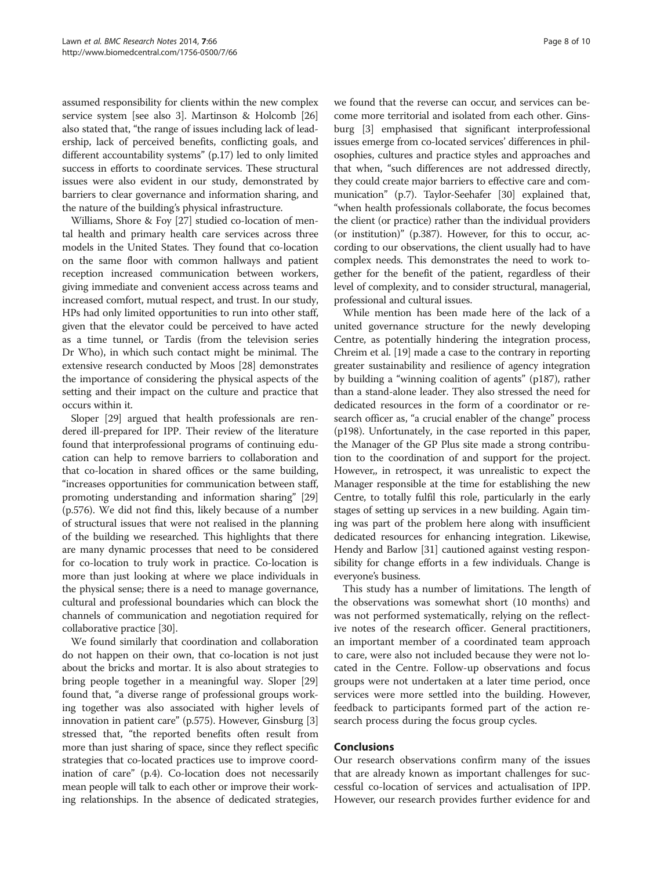assumed responsibility for clients within the new complex service system [see also 3]. Martinson & Holcomb [[26](#page-8-0)] also stated that, "the range of issues including lack of leadership, lack of perceived benefits, conflicting goals, and different accountability systems" (p.17) led to only limited success in efforts to coordinate services. These structural issues were also evident in our study, demonstrated by barriers to clear governance and information sharing, and the nature of the building's physical infrastructure.

Williams, Shore & Foy [[27](#page-9-0)] studied co-location of mental health and primary health care services across three models in the United States. They found that co-location on the same floor with common hallways and patient reception increased communication between workers, giving immediate and convenient access across teams and increased comfort, mutual respect, and trust. In our study, HPs had only limited opportunities to run into other staff, given that the elevator could be perceived to have acted as a time tunnel, or Tardis (from the television series Dr Who), in which such contact might be minimal. The extensive research conducted by Moos [[28](#page-9-0)] demonstrates the importance of considering the physical aspects of the setting and their impact on the culture and practice that occurs within it.

Sloper [\[29](#page-9-0)] argued that health professionals are rendered ill-prepared for IPP. Their review of the literature found that interprofessional programs of continuing education can help to remove barriers to collaboration and that co-location in shared offices or the same building, "increases opportunities for communication between staff, promoting understanding and information sharing" [[29](#page-9-0)] (p.576). We did not find this, likely because of a number of structural issues that were not realised in the planning of the building we researched. This highlights that there are many dynamic processes that need to be considered for co-location to truly work in practice. Co-location is more than just looking at where we place individuals in the physical sense; there is a need to manage governance, cultural and professional boundaries which can block the channels of communication and negotiation required for collaborative practice [\[30\]](#page-9-0).

We found similarly that coordination and collaboration do not happen on their own, that co-location is not just about the bricks and mortar. It is also about strategies to bring people together in a meaningful way. Sloper [[29](#page-9-0)] found that, "a diverse range of professional groups working together was also associated with higher levels of innovation in patient care" (p.575). However, Ginsburg [[3](#page-8-0)] stressed that, "the reported benefits often result from more than just sharing of space, since they reflect specific strategies that co-located practices use to improve coordination of care" (p.4). Co-location does not necessarily mean people will talk to each other or improve their working relationships. In the absence of dedicated strategies,

we found that the reverse can occur, and services can become more territorial and isolated from each other. Ginsburg [\[3](#page-8-0)] emphasised that significant interprofessional issues emerge from co-located services' differences in philosophies, cultures and practice styles and approaches and that when, "such differences are not addressed directly, they could create major barriers to effective care and communication" (p.7). Taylor-Seehafer [\[30](#page-9-0)] explained that, "when health professionals collaborate, the focus becomes the client (or practice) rather than the individual providers (or institution)" (p.387). However, for this to occur, according to our observations, the client usually had to have complex needs. This demonstrates the need to work together for the benefit of the patient, regardless of their level of complexity, and to consider structural, managerial, professional and cultural issues.

While mention has been made here of the lack of a united governance structure for the newly developing Centre, as potentially hindering the integration process, Chreim et al. [\[19\]](#page-8-0) made a case to the contrary in reporting greater sustainability and resilience of agency integration by building a "winning coalition of agents" (p187), rather than a stand-alone leader. They also stressed the need for dedicated resources in the form of a coordinator or research officer as, "a crucial enabler of the change" process (p198). Unfortunately, in the case reported in this paper, the Manager of the GP Plus site made a strong contribution to the coordination of and support for the project. However,, in retrospect, it was unrealistic to expect the Manager responsible at the time for establishing the new Centre, to totally fulfil this role, particularly in the early stages of setting up services in a new building. Again timing was part of the problem here along with insufficient dedicated resources for enhancing integration. Likewise, Hendy and Barlow [\[31\]](#page-9-0) cautioned against vesting responsibility for change efforts in a few individuals. Change is everyone's business.

This study has a number of limitations. The length of the observations was somewhat short (10 months) and was not performed systematically, relying on the reflective notes of the research officer. General practitioners, an important member of a coordinated team approach to care, were also not included because they were not located in the Centre. Follow-up observations and focus groups were not undertaken at a later time period, once services were more settled into the building. However, feedback to participants formed part of the action research process during the focus group cycles.

#### Conclusions

Our research observations confirm many of the issues that are already known as important challenges for successful co-location of services and actualisation of IPP. However, our research provides further evidence for and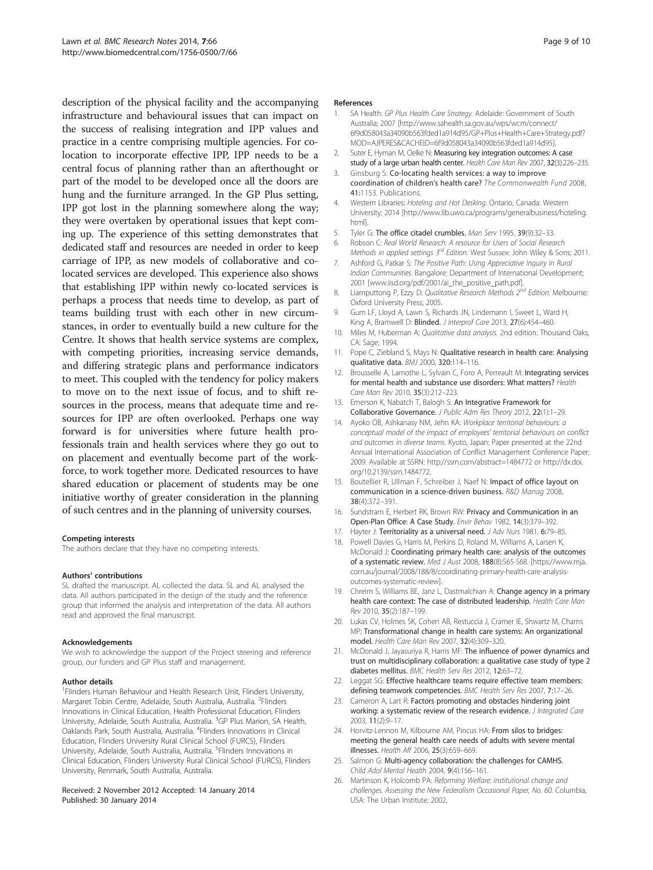<span id="page-8-0"></span>description of the physical facility and the accompanying infrastructure and behavioural issues that can impact on the success of realising integration and IPP values and practice in a centre comprising multiple agencies. For colocation to incorporate effective IPP, IPP needs to be a central focus of planning rather than an afterthought or part of the model to be developed once all the doors are hung and the furniture arranged. In the GP Plus setting, IPP got lost in the planning somewhere along the way; they were overtaken by operational issues that kept coming up. The experience of this setting demonstrates that dedicated staff and resources are needed in order to keep carriage of IPP, as new models of collaborative and colocated services are developed. This experience also shows that establishing IPP within newly co-located services is perhaps a process that needs time to develop, as part of teams building trust with each other in new circumstances, in order to eventually build a new culture for the Centre. It shows that health service systems are complex, with competing priorities, increasing service demands, and differing strategic plans and performance indicators to meet. This coupled with the tendency for policy makers to move on to the next issue of focus, and to shift resources in the process, means that adequate time and resources for IPP are often overlooked. Perhaps one way forward is for universities where future health professionals train and health services where they go out to on placement and eventually become part of the workforce, to work together more. Dedicated resources to have shared education or placement of students may be one initiative worthy of greater consideration in the planning of such centres and in the planning of university courses.

#### Competing interests

The authors declare that they have no competing interests.

#### Authors' contributions

SL drafted the manuscript. AL collected the data. SL and AL analysed the data. All authors participated in the design of the study and the reference group that informed the analysis and interpretation of the data. All authors read and approved the final manuscript.

#### Acknowledgements

We wish to acknowledge the support of the Project steering and reference group, our funders and GP Plus staff and management.

#### Author details

<sup>1</sup> Flinders Human Behaviour and Health Research Unit, Flinders University, Margaret Tobin Centre, Adelaide, South Australia, Australia. <sup>2</sup>Flinders Innovations in Clinical Education, Health Professional Education, Flinders University, Adelaide, South Australia, Australia. <sup>3</sup>GP Plus Marion, SA Health, Oaklands Park, South Australia, Australia. <sup>4</sup>Flinders Innovations in Clinical Education, Flinders University Rural Clinical School (FURCS), Flinders University, Adelaide, South Australia, Australia. <sup>5</sup>Flinders Innovations in Clinical Education, Flinders University Rural Clinical School (FURCS), Flinders University, Renmark, South Australia, Australia.

#### Received: 2 November 2012 Accepted: 14 January 2014 Published: 30 January 2014

#### References

- 1. SA Health: GP Plus Health Care Strateav. Adelaide: Government of South Australia; 2007 [[http://www.sahealth.sa.gov.au/wps/wcm/connect/](http://www.sahealth.sa.gov.au/wps/wcm/connect/6f9d058043a34090b563fded1a914d95/GP+Plus+Health+Care+Strategy.pdf?MOD=AJPERES&CACHEID=6f9d058043a34090b563fded1a914d95) [6f9d058043a34090b563fded1a914d95/GP+Plus+Health+Care+Strategy.pdf?](http://www.sahealth.sa.gov.au/wps/wcm/connect/6f9d058043a34090b563fded1a914d95/GP+Plus+Health+Care+Strategy.pdf?MOD=AJPERES&CACHEID=6f9d058043a34090b563fded1a914d95) [MOD=AJPERES&CACHEID=6f9d058043a34090b563fded1a914d95](http://www.sahealth.sa.gov.au/wps/wcm/connect/6f9d058043a34090b563fded1a914d95/GP+Plus+Health+Care+Strategy.pdf?MOD=AJPERES&CACHEID=6f9d058043a34090b563fded1a914d95)].
- 2. Suter E, Hyman M, Oelke N: Measuring key integration outcomes: A case study of a large urban health center. Health Care Man Rev 2007, 32(3):226–235.
- 3. Ginsburg S: Co-locating health services: a way to improve coordination of children's health care? The Commonwealth Fund 2008, 41:1153. Publications.
- 4. Western Libraries: Hoteling and Hot Desking. Ontario, Canada: Western University; 2014 [\[http://www.lib.uwo.ca/programs/generalbusiness/hoteling.](http://www.lib.uwo.ca/programs/generalbusiness/hoteling.html) [html\]](http://www.lib.uwo.ca/programs/generalbusiness/hoteling.html).
- 5. Tyler G: The office citadel crumbles. Man Serv 1995, 39(9):32–33.
- 6. Robson C: Real World Research: A resource for Users of Social Research Methods in applied settings 3<sup>rd</sup> Edition. West Sussex: John Wiley & Sons; 2011.
- 7. Ashford G, Patkar S: The Positive Path: Using Appreciative Inquiry in Rural Indian Communities. Bangalore: Department of International Development; 2001 [\[www.iisd.org/pdf/2001/ai\\_the\\_positive\\_path.pdf](http://www.iisd.org/pdf/2001/ai_the_positive_path.pdf)].
- 8. Liamputtong P, Ezzy D: Qualitative Research Methods 2<sup>nd</sup> Edition. Melbourne: Oxford University Press; 2005.
- 9. Gum LF, Lloyd A, Lawn S, Richards JN, Lindemann I, Sweet L, Ward H, King A, Bramwell D: Blinded. J Interprof Care 2013, 27(6):454–460.
- 10. Miles M, Huberman A: Qualitative data analysis. 2nd edition. Thousand Oaks, CA: Sage; 1994.
- 11. Pope C, Ziebland S, Mays N: Qualitative research in health care: Analysing qualitative data. BMJ 2000, 320:114–116.
- 12. Brousselle A, Lamothe L, Sylvain C, Foro A, Perreault M: Integrating services for mental health and substance use disorders: What matters? Health Care Man Rev 2010, 35(3):212–223.
- 13. Emerson K, Nabatch T, Balogh S: An Integrative Framework for Collaborative Governance. J Public Adm Res Theory 2012, 22(1):1–29.
- 14. Ayoko OB, Ashkanasy NM, Jehn KA: Workplace territorial behaviours: a conceptual model of the impact of employees' territorial behaviours on conflict and outcomes in diverse teams. Kyoto, Japan: Paper presented at the 22nd Annual International Association of Conflict Management Conference Paper; 2009. Available at SSRN:<http://ssrn.com/abstract=1484772> or [http://dx.doi.](http://dx.doi.org/10.2139/ssrn.1484772) [org/10.2139/ssrn.1484772](http://dx.doi.org/10.2139/ssrn.1484772).
- 15. Boutellier R, Ullman F, Schreiber J, Naef N: Impact of office layout on communication in a science-driven business. R&D Manag 2008, 38(4):372–391.
- 16. Sundstram E, Herbert RK, Brown RW: Privacy and Communication in an Open-Plan Office: A Case Study. Envir Behav 1982, 14(3):379–392.
- 17. Hayter J: Territoriality as a universal need. J Adv Nurs 1981, 6:79-85.
- 18. Powell Davies G, Harris M, Perkins D, Roland M, Williams A, Larsen K, McDonald J: Coordinating primary health care: analysis of the outcomes of a systematic review. Med J Aust 2008, 188(8):S65-S68. [\[https://www.mja.](https://www.mja.com.au/journal/2008/188/8/coordinating-primary-health-care-analysis-outcomes-systematic-review) [com.au/journal/2008/188/8/coordinating-primary-health-care-analysis](https://www.mja.com.au/journal/2008/188/8/coordinating-primary-health-care-analysis-outcomes-systematic-review)[outcomes-systematic-review\]](https://www.mja.com.au/journal/2008/188/8/coordinating-primary-health-care-analysis-outcomes-systematic-review).
- 19. Chreim S, Williams BE, Janz L, Dastmalchian A: Change agency in a primary health care context: The case of distributed leadership. Health Care Man Rev 2010, 35(2):187–199.
- 20. Lukas CV, Holmes SK, Cohen AB, Restuccia J, Cramer IE, Shwartz M, Charns MP: Transformational change in health care systems: An organizational model. Health Care Man Rev 2007, 32(4):309–320.
- 21. McDonald J, Jayasuriya R, Harris MF: The influence of power dynamics and trust on multidisciplinary collaboration: a qualitative case study of type 2 diabetes mellitus. BMC Health Serv Res 2012, 12:63–72.
- 22. Leggat SG: Effective healthcare teams require effective team members: defining teamwork competencies. BMC Health Serv Res 2007, 7:17–26.
- 23. Cameron A, Lart R: Factors promoting and obstacles hindering joint working: a systematic review of the research evidence. *J* Integrated Care 2003, 11(2):9–17.
- 24. Horvitz-Lennon M, Kilbourne AM, Pincus HA: From silos to bridges: meeting the general health care needs of adults with severe mental illnesses. Health Aff 2006, 25(3):659–669.
- 25. Salmon G: Multi-agency collaboration: the challenges for CAMHS. Child Adol Mental Health 2004, 9(4):156–161.
- 26. Martinson K, Holcomb PA: Reforming Welfare: institutional change and challenges. Assessing the New Federalism Occasional Paper, No. 60. Columbia, USA: The Urban Institute; 2002.